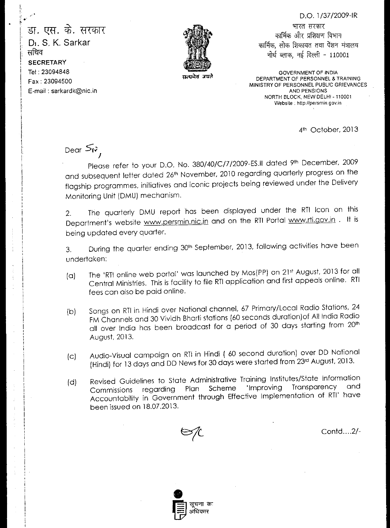D.O. 1/37/2009-IR

डा. एस. के. सरकार DI. S. K. Sarkar सचिव **SECRETARY** Tel : 23094848 Fax : 23094500 E-mail : sarkardk@nic.in



 $\Delta x$ r

भारत सरकार कार्मिक और प्रशिक्षण विभाग कार्मिक, लोक शिकायत तथा पेंशन मंत्रालय नोर्थ ब्लाक, नई दिल्ली - 110001

GOVERNMENT OF INDIA DEPARTMENT OF PERSONNEL & TRAINING MINISTRY OF PERSONNEL PUBLIC GRIEVANCES AND PENSIONS NORTH BLOCK, NEW DELHI - 110001 Website : http://persmin.gov.in

4th October, 2013

Dear  $5\omega$ /

Please refer to your D.O. No. 380/40/C/7/2009-ES.II dated 9th December, 2009 and subsequent letter dated 26th November, 2010 regarding quarterly progress on the flagship programmes, initiatives and iconic projects being reviewed under the Delivery Monitoring Unit (DMU) mechanism.

2. The quarterly DMU report has been displayed under the RTI Icon on this Department's website www.persmin.nic.in and on the RTI Portal www.rti.gov.in . It is being updated every quarter.

3. During the quarter ending 30<sup>th</sup> September, 2013, following activities have been undertaken:

- (a) The 'RTI online web portal' was launched by Mos(PP) on 21st August, 2013 for all Central Ministries. This is facility to file RTI application and first appeals online. RTI fees can also be paid online.
- (b) Songs on RTI in Hindi over National channel, 67 Primary/Local Radio Stations, 24 FM Channels and 30 Vividh Bharti stations (60 seconds duration)of All India Radio all over India has been broadcast for a period of 30 days starting from 20th August, 2013.
- (c) Audio-Visual campaign on RTI in Hindi ( 60 second duration) over DD National (Hindi) for 13 days and DD News for 30 days were started from 23rd August, 2013.
- (d) Revised Guidelines to State Administrative Training Institutes/State Information Commissions regarding Plan Scheme 'Improving Transparency and Accountability in Government through Effective Implementation of RTI' have been issued on 18.07.2013.



Contd....2/-